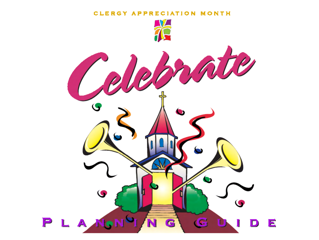#### CLERGY APPRECIATION MONTH

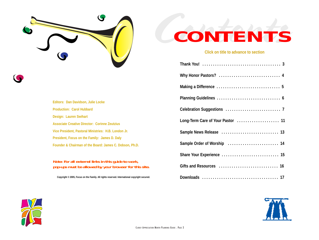



**Editors: Dan Davidson, Julie Locke Production: Carol HubbardDesign: Lauren Swihart Associate Creative Director: Corinne ZeutziusVice President, Pastoral Ministries: H.B. London Jr. President, Focus on the Family: James D. Daly Founder & Chairman of the Board: James C. Dobson, Ph.D.**

#### **Note: For all external links in this guide to work, pop-ups must be allowed by your browser for this site.**

**Copyright © 2005, Focus on the Family. All rights reserved. International copyright secured.** 



#### **Click on title to advance to section**

| Long-Term Care of Your Pastor  11 |
|-----------------------------------|
|                                   |
|                                   |
|                                   |
|                                   |
|                                   |



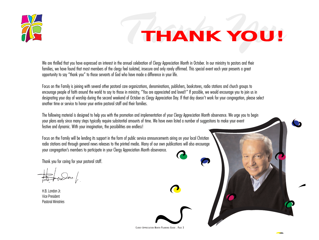<span id="page-2-0"></span>

### *Thank You THANK YOU!*

We are thrilled that you have expressed an interest in the annual celebration of Clergy Appreciation Month in October. In our ministry to pastors and their families, we have found that most members of the clergy feel isolated, insecure and only rarely affirmed. This special event each year presents a great opportunity to say "thank you" to those servants of God who have made a difference in your life.

Focus on the Family is joining with several other pastoral care organizations, denominations, publishers, bookstores, radio stations and church groups to encourage people of faith around the world to say to those in ministry, "You are appreciated and loved!" If possible, we would encourage you to join us in designating your day of worship during the second weekend of October as Clergy Appreciation Day. If that day doesn't work for your congregation, please select another time or service to honor your entire pastoral staff and their families.

The following material is designed to help you with the promotion and implementation of your Clergy Appreciation Month observance. We urge you to begin your plans early since many steps typically require substantial amounts of time. We have even listed a number of suggestions to make your event festive and dynamic. With your imagination, the possibilities are endless!

Focus on the Family will be lending its support in the form of public service announcements airing on your local Christian radio stations and through general news releases to the printed media. Many of our own publications will also encourage your congregation's members to participate in your Clergy Appreciation Month observance.

Thank you for caring for your pastoral staff.

H.B. London Jr.Vice PresidentPastoral Ministries

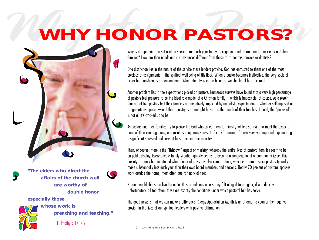### <span id="page-3-0"></span>**WHY HONOR PASTORS?** *WHY HONOR PASTORS?*

Why is it appropriate to set aside a special time each year to give recognition and affirmation to our clergy and their families? How are their needs and circumstances different from those of carpenters, grocers or dentists?

One distinction lies in the nature of the service these leaders provide. God has entrusted to them one of the most precious of assignments—the spiritual well-being of His flock. When a pastor becomes ineffective, the very souls of his or her parishioners are endangered. When eternity is in the balance, we should all be concerned.

Another problem lies in the expectations placed on pastors. Numerous surveys have found that a very high percentage of pastors feel pressure to be the ideal role model of a Christian family—which is impossible, of course. As a result, four out of five pastors feel their families are negatively impacted by unrealistic expectations—whether self-imposed or congregation-imposed—and that ministry is an outright hazard to the health of their families. Indeed, the "pedestal" is not all it's cracked up to be.

As pastors and their families try to please the God who called them to ministry while also trying to meet the expectations of their congregations, one result is dangerous stress. In fact, 75 percent of those surveyed reported experiencing a significant stress-related crisis at least once in their ministry.

Then, of course, there is the "fishbowl" aspect of ministry, whereby the entire lives of pastoral families seem to be on public display. Every private family situation quickly seems to become a congregational or community issue. This anxiety can only be heightened when financial pressures also come to bear, which is common since pastors typically make substantially less each year than their own board members and deacons. Nearly 70 percent of pastoral spouses work outside the home, most often due to financial need.

No one would choose to live life under these conditions unless they felt obliged to a higher, divine directive. Unfortunately, all too often, these are exactly the conditions under which pastoral families serve.

The good news is that we can make a difference! Clergy Appreciation Month is an attempt to counter the negative erosion in the lives of our spiritual leaders with positive affirmation.

**"The elders who direct the affairs of the church well are worthy of double honor,** 

**especially those** 



**whose work is preaching and teaching."**

–1 Timothy 5:17, NIV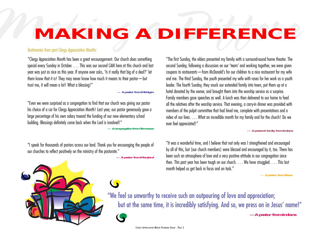### <span id="page-4-0"></span>*Making a Differe MAKING A DIFFERENCE*

#### *Testimonies from past Clergy Appreciation Months:*

"Clergy Appreciation Month has been a great encouragement. Our church does something special every Sunday in October. . . . This was our second CAM here at this church and last year was just as nice as this year. If anyone ever asks, 'Is it really that big of a deal?' let them know that it is! They may never know how much it means to their pastor—but trust me, it will mean a lot! What a blessing!"

#### **— A pastor from Michigan**

"Even we were surprised as a congregation to find that our church was giving our pastor his choice of a car for Clergy Appreciation Month! Last year, our pastor generously gave a large percentage of his own salary toward the funding of our new elementary school building. Blessings definitely come back when the Lord is involved!"

**— A congregation from Tennessee**

"I speak for thousands of pastors across our land. Thank you for encouraging the people of our churches to reflect positively on the ministry of the pastorate."

**— A pastor from Maryland**

"The first Sunday, the elders presented my family with a surround-sound home theater. The second Sunday, following a discussion on our 'team' and working together, we were given coupons to restaurants—from McDonald's for our children to a nice restaurant for my wife and me. The third Sunday, the youth presented my wife with roses for her work as a youth leader. The fourth Sunday, they snuck our extended family into town, put them up at a hotel donated by the owner, and brought them into the worship service as a surprise. Family members gave speeches as well. A lunch was then delivered to our home to feed all the relatives after the worship service. That evening, a carry-in dinner was provided with members of the pulpit committee that had hired me, complete with presentations and a video of our lives. . . . What an incredible month for my family and for the church! Do we ever feel appreciated!"

#### **— A pastoral family from Indiana**

"It was a wonderful time, and I believe that not only was I strengthened and encouraged by all of this, but [our church members] were blessed and encouraged by it, too. There has been such an atmosphere of love and a very positive attitude in our congregation since then. This past year has been tough on our church. . . . We have struggled. . . . This last month helped us get back in focus and on task."

**— A pastor from Texas**

"We feel so unworthy to receive such an outpouring of love and appreciation; but at the same time, it is incredibly satisfying. And so, we press on in Jesus' name!" **—A pastor from Indiana**

 $\left( \right)$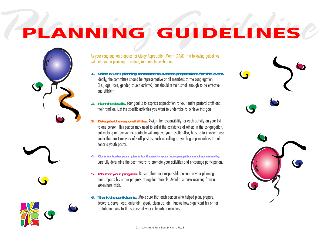## <span id="page-5-0"></span>*PlPLanning Guideline ANNING GUIDELINES*





- **1. Select a CAM planning committee to oversee preparations for this event.** Ideally, the committee should be representative of all members of the congregation (i.e., age, race, gender, church activity), but should remain small enough to be effective and efficient.
- **2. Plan the details.** Your goal is to express appreciation to your entire pastoral staff and their families. List the specific activities you want to undertake to achieve this goal.
- **3. Delegate the responsibilities.** Assign the responsibility for each activity on your list to one person. This person may need to enlist the assistance of others in the congregation, but making one person accountable will improve your results. Also, be sure to involve those under the direct ministry of staff pastors, such as calling on youth group members to help honor a youth pastor.
- **4. Communicate your plans to those in your congregation and community.** Carefully determine the best means to promote your activities and encourage participation.
- **5. Monitor your progress.** Be sure that each responsible person on your planning team reports his or her progress at regular intervals. Avoid a surprise resulting from a last-minute crisis.
- **6. Thank the participants.** Make sure that each person who helped plan, prepare, decorate, serve, lead, entertain, speak, clean up, etc., knows how significant his or her contribution was to the success of your celebration activities.

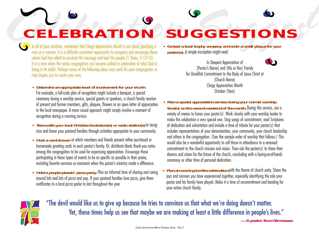<span id="page-6-0"></span>*Celebration Suggest CELEBRATION SUGGESTIONS*

In all of your activities, remember that Clergy Appreciation Month is not about glorifying a man or a woman. It is a biblically consistent opportunity to recognize and encourage those whom God has called to proclaim His message and lead His people (1 Thess. 5:12-13). It is a time when the entire congregation can become unified in celebration of what God is doing in its midst. Perhaps some of the following ideas may work for your congregation or may inspire you to create your own.

**• Determine an appropriate level of involvement for your church.**  For example, a full-scale plan of recognition might include a banquet, a special ceremony during a worship service, special guests or speakers, a church family reunion of present and former members, gifts, plaques, flowers or an open letter of appreciation in the local newspaper. A more casual approach might simply involve a moment of recognition during a morning service.

- **• Team with your local Christian bookstore(s) or radio station(s)** to recognize and honor your pastoral families through activities appropriate to your community.
- **• Host a card shower** at which members and friends present either purchased or homemade greeting cards to each pastor's family. Or, distribute blank thank-you notes among the congregation to be used for expressing appreciation. Encourage those participating in these types of events to be as specific as possible in their praise, revisiting favorite sermons or moments when the pastor's ministry made a difference.
- **• Hold a people-pleasin' pizza party.** Plan an informal time of sharing and caring around lots and lots of pizza and pop. If your pastoral families love pizza, give them certificates to a local pizza parlor to last throughout the year.

**• Contact a local trophy company and order a small plaque for your pastor(s).** A simple inscription might read:

> In Deepest Appreciation of [Pastor's Name] and [His or Her] Family for Unselfish Commitment to the Body of Jesus Christ at [Church Name] Clergy Appreciation Month October [Year]

**• Plan a special appreciation service during your normal worship time(s) on the second weekend of the month.** During this service, use a variety of means to honor your pastor(s). Work closely with your worship leader to make the celebration a very special one. Sing songs of commitment, read Scriptures of dedication and exhortation and include a time of tribute for your pastor(s) that includes representatives of your denomination, your community, your church leadership and others in the congregation. (See the sample order of worship that follows.) This would also be a wonderful opportunity to call those in attendance to a renewed commitment to the church mission and vision. Then ask the pastor(s) to share their dreams and vision for the future of the church, concluding with a laying-on-of-hands ceremony or other time of personal dedication.

**• Plan an evening bonfire celebration** with the theme of church unity. Share the joys and sorrows you have experienced together, especially identifying the role your pastor and his family have played. Make it a time of recommitment and bonding for your entire church family.



"The devil would like us to give up because he tries to convince us that what we're doing doesn't matter. Yet, these times help us see that maybe we are making at least a little difference in people's lives." **—A pastor from Tennessee**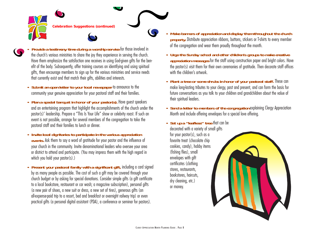

- **Provide a testimony time during a worship service** for those involved in the church's various ministries to share the joy they experience in serving the church. Have them emphasize the satisfaction one receives in using God-given gifts for the benefit of the body. Subsequently, offer training courses on identifying and using spiritual gifts, then encourage members to sign up for the various ministries and service needs that currently exist and that match their gifts, abilities and interests.
- **• Submit an open letter to your local newspaper** to announce to the community your genuine appreciation for your pastoral staff and their families.
- **• Plan a special banquet in honor of your pastor(s).** Have guest speakers and an entertaining program that highlight the accomplishments of the church under the pastor(s)' leadership. Prepare a "This Is Your Life" show or celebrity roast. If such an event is not possible, arrange for several members of the congregation to take the pastoral staff and their families to lunch or dinner.
- **• Invite local dignitaries to participate in the various appreciation events.** Ask them to say a word of gratitude for your pastor and the influence of your church in the community. Invite denominational leaders who oversee your area or district to attend and participate. (You may impress them with the high regard in which you hold your pastor(s).)
- **• Present your pastoral family with a significant gift,** including a card signed by as many people as possible. The cost of such a gift may be covered through your church budget or by asking for special donations. Consider simple gifts (a gift certificate to a local bookstore, restaurant or car wash; a magazine subscription), personal gifts (a new pair of shoes, a new suit or dress, a new set of tires), generous gifts (an all-expense-paid trip to a resort, bed and breakfast or overnight railway trip) or even practical gifts (a personal digital assistant (PDA), a conference or seminar for pastors).
- **• Make banners of appreciation and display them throughout the church property.** Distribute appreciation ribbons, buttons, stickers or T-shirts to every member of the congregation and wear them proudly throughout the month.
- **• Urge the Sunday school and other children's groups to make creative appreciation messages** for the staff using construction paper and bright colors. Have the pastor(s) visit them for their own ceremonies of gratitude. Then decorate staff offices with the children's artwork.
- **• Plant a tree or some shrubs in honor of your pastoral staff.** These can make long-lasting tributes to your clergy, past and present, and can form the basis for future conversations as you talk to your children and grandchildren about the value of their spiritual leaders.
- **• Send a letter to members of the congregation** explaining Clergy Appreciation Month and include offering envelopes for a special love offering.
- **• Set up a "leafless" tree** that can be

decorated with a variety of small gifts for your pastor(s), such as a favorite treat (chocolate chip cookies, candy), hobby items (fishing flies), small envelopes with gift certificates (clothing stores, restaurants, bookstores, haircuts, dry cleaning, etc.) or money.

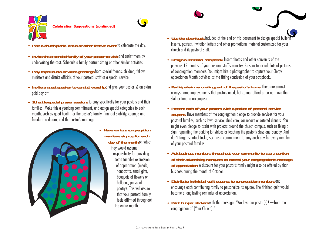



- **• Invite the extended family of your pastor to visit** and assist them by underwriting the cost. Schedule a family portrait sitting or other similar activities.
- **• Play taped audio or video greetings** from special friends, children, fellow ministers and district officials of your pastoral staff at a special service.
- **• Invite a guest speaker to conduct worship** and give your pastor(s) an extra paid day off.
- **• Schedule special prayer sessions** to pray specifically for your pastors and their families. Make this a yearlong commitment, and assign special categories to each month, such as good health for the pastor's family, financial stability, courage and freedom to dream, and the pastor's marriage.



**• Have various congregation members sign up for each day of the month** on which they would assume responsibility for providing some tangible expression of appreciation (meals, handcrafts, small gifts, bouquets of flowers or balloons, personal poetry). This will assure that your pastoral family feels affirmed throughout the entire month.

- **• Use the downloads** included at the end of this document to design special bulletin inserts, posters, invitation letters and other promotional material customized for your church and its pastoral staff.
- **• Design a memorial scrapbook.** Insert photos and other souvenirs of the previous 12 months of your pastoral staff's ministry. Be sure to include lots of pictures of congregation members. You might hire a photographer to capture your Clergy Appreciation Month activities as the fitting conclusion of your scrapbook.
- **• Participate in renovating part of the pastor's home.** There are almost always home improvements that pastors need, but cannot afford or do not have the skill or time to accomplish.
- **• Present each of your pastors with a packet of personal service coupons.** Have members of the congregation pledge to provide services for your pastoral families, such as lawn service, child care, car repairs or catered dinners. You might even pledge to assist with projects around the church campus, such as fixing a sign, repainting the parking lot stripes or teaching the pastor's class one Sunday. And don't forget spiritual tasks, such as a commitment to pray each day for every member of your pastoral families.
- **• Ask business members throughout your community to use a portion of their advertising marquees to extend your congregation's message of appreciation.** A discount for your pastor's family might also be offered by that business during the month of October.
- **• Distribute individual quilt squares to congregation members** and encourage each contributing family to personalize its square. The finished quilt would become a long-lasting reminder of appreciation.
- **• Print bumper stickers** with the message, "We love our pastor(s)!—from the congregation of [Your Church]."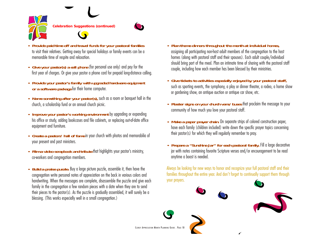



- **• Provide paid time off and travel funds for your pastoral families**  to visit their relatives. Getting away for special holidays or family events can be a memorable time of respite and relaxation.
- **• Give your pastor(s) a cell phone** (for personal use only) and pay for the first year of charges. Or give your pastor a phone card for prepaid long-distance calling.
- **• Provide your pastor's family with upgraded hardware equipment or a software package** for their home computer.
- **• Name something after your pastor(s),** such as a room or banquet hall in the church, a scholarship fund or an annual church picnic.
- **• Improve your pastor's working environment** by upgrading or expanding his office or study, adding bookcases and file cabinets, or replacing out-of-date office equipment and furniture.
- **• Create a pastors' hall of fame** in your church with photos and memorabilia of your present and past ministers.
- **• Film a video scrapbook and tribute** that highlights your pastor's ministry, co-workers and congregation members.
- **• Build a praise puzzle.** Buy a large picture puzzle, assemble it, then have the congregation write personal notes of appreciation on the back in various colors and handwriting. When the messages are complete, disassemble the puzzle and give each family in the congregation a few random pieces with a date when they are to send their pieces to the pastor(s). As the puzzle is gradually assembled, it will surely be a blessing. (This works especially well in a small congregation.)
- **• Plan theme dinners throughout the month at individual homes,** assigning all participating non-host adult members of the congregation to the host homes (along with pastoral staff and their spouses). Each adult couple/individual should bring part of the meal. Plan an intimate time of sharing with the pastoral staff couple, including how each member has been blessed by their ministries.
- **• Give tickets to activities especially enjoyed by your pastoral staff,** such as sporting events, the symphony, a play or dinner theater, a rodeo, a home show or gardening show, an antique auction or antique car show, etc.
- **• Plaster signs on your church vans/buses** that proclaim the message to your community of how much you love your pastoral staff.
- **• Make a paper prayer chain.** On separate strips of colored construction paper, have each family (children included) write down the specific prayer topics concerning their pastor(s) for which they will regularly remember to pray.
- **• Prepare a "Sunshine Jar" for each pastoral family.** Fill a large decorative jar with notes containing favorite Scripture verses and/or encouragement to be read anytime a boost is needed.

Always be looking for new ways to honor and recognize your full pastoral staff and their families throughout the entire year. And don't forget to continually support them through your prayers.

CLERGY APPRECIATION MONTH PLANNING GUIDE . PAGE 10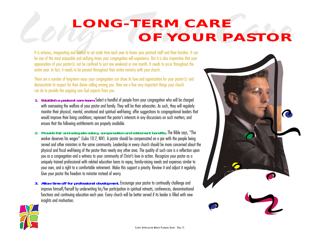### <span id="page-10-0"></span>*LONG – TERM CARE*<br> *OF YOUR PASTOR LONG-TERM CAREOF YOUR PASTOR*

be one of the most enjoyable and unifying times your congregation will experience. But it is also imperative that your appreciation of your pastor(s) not be confined to just one weekend or one month. It needs to occur throughout the entire year. In fact, it needs to be present throughout their entire ministry with your church.

There are a number of long-term ways your congregation can show its love and appreciation for your pastor(s) and demonstrate its respect for their divine calling among you. Here are a few very important things your church can do to provide the ongoing care God expects from you:

- **1. Establish a pastoral care team.**Select a handful of people from your congregation who will be charged with overseeing the welfare of your pastor and family. They will be their advocates. As such, they will regularly monitor their physical, mental, emotional and spiritual well-being; offer suggestions to congregational leaders that would improve their living conditions; represent the pastor's interests in any discussions on such matters; and ensure that the following entitlements are properly available.
- **2. Provide fair and adequate salary, compensation and retirement benefits.** The Bible says, "The worker deserves his wages" (Luke 10:7, NIV). A pastor should be compensated on a par with the people being served and other ministers in the same community. Leadership in every church should be more concerned about the physical and fiscal well-being of the pastor than nearly any other area. The quality of such care is a reflection upon you as a congregation and a witness to your community of Christ's love in action. Recognize your pastor as a uniquely trained professional with related education loans to repay, family-raising needs and expenses similar to your own, and a right to a comfortable retirement. Make this support a priority. Review it and adjust it regularly. Give your pastor the freedom to minister instead of worry.
- **3. Allow time off for professional development.** Encourage your pastor to continually challenge and improve himself/herself by underwriting his/her participation in spiritual retreats, conferences, denominational functions and continuing education each year. Every church will be better served if its leader is filled with new insights and motivation.



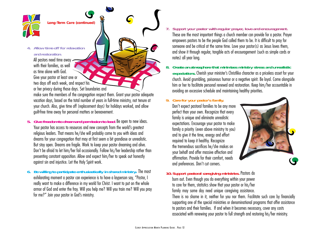

**Long-Term Care (continued)**

#### **4. Allow time off for relaxationand restoration.**

All pastors need time away with their families, as well as time alone with God.Give your pastor at least one or two days off each week, and respect his or her privacy during those days. Set boundaries and make sure the members of the congregation respect them. Grant your pastor adequate

vacation days, based on the total number of years in full-time ministry, not tenure at your church. Also, give time off (replacement days) for holidays worked, and allow guilt-free time away for personal matters or bereavement.

- **5. Give freedom to dream and permission to lead.** Be open to new ideas. Your pastor has access to resources and new concepts from the world's greatest religious leaders. That means he/she will probably come to you with ideas and dreams for your congregation that may at first seem a bit grandiose or unrealistic. But stay open. Dreams are fragile. Work to keep your pastor dreaming and alive. Don't be afraid to let him/her fail occasionally. Follow his/her leadership rather than presenting constant opposition. Allow and expect him/her to speak out honestly against sin and injustice. Let the Holy Spirit work.
- **6. Be willing to participate enthusiastically in shared ministry.** The most exhilarating moment a pastor can experience is to have a layperson say, "Pastor, I really want to make a difference in my world for Christ. I want to put on the whole armor of God and enter the fray. Will you help me? Will you train me? Will you pray for me?" Join your pastor in God's ministry.
- **7. Support your pastor with regular prayer, love and encouragement.** These are the most important things a church member can provide for a pastor. Prayer empowers pastors to be the people God called them to be. It is difficult to pray for someone and be critical at the same time. Love your pastor(s) as Jesus loves them, and show it through regular, tangible acts of encouragement (such as simple cards or notes) all year long.
- **8. Create an atmosphere that minimizes ministry stress and unrealistic expectations.** Cherish your minister's Christlike character as a priceless asset for your church. Avoid grumbling, poisonous humor or a negative spirit. Be loyal. Come alongside him or her to facilitate personal renewal and restoration. Keep him/her accountable in avoiding an excessive schedule and maintaining healthy priorities.

#### **9. Care for your pastor's family.**

Don't expect pastoral families to be any more perfect than your own. Recognize that every family is unique and eliminate unrealistic expectations. Encourage your pastor to make family a priority (even above ministry to you) and to give it the time, energy and effort required to keep it healthy. Recognize the tremendous sacrifices he/she makes on your behalf and offer massive affection and affirmation. Provide for their comfort, needs and preferences. Don't cut corners.

**10. Support pastoral caregiving ministries.** Pastors do burn out. Even though you do everything within your power to care for them, statistics show that your pastor or his/her

family may some day need unique caregiving assistance.

There is no shame in it, neither for you nor them. Facilitate such care by financially supporting one of the special ministries or denominational programs that offer assistance to pastors and their families. If and when it becomes necessary, cover any costs associated with renewing your pastor to full strength and restoring his/her ministry.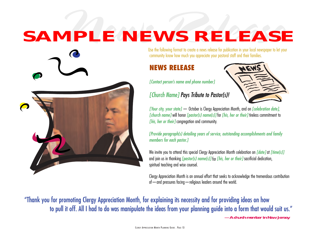# <span id="page-12-0"></span>*News Release SAMPLE NEWS RELEASE*

Use the following format to create a news release for publication in your local newspaper to let your community know how much you appreciate your pastoral staff and their families.

#### **NEWS RELEASE**

*[Contact person's name and phone number]*



*[Your city, your state]* — October is Clergy Appreciation Month, and on *[celebration date], [church name]* will honor *[pastor(s) name(s)]* for *[his, her or their]* tireless commitment to *[his, her or their]* congregation and community.

*[Provide paragraph(s) detailing years of service, outstanding accomplishments and family members for each pastor.]*

We invite you to attend this special Clergy Appreciation Month celebration on *[date]* at *[time(s)]* and join us in thanking *[pastor(s) name(s)]* for *[his, her or their]* sacrificial dedication, spiritual teaching and wise counsel.

Clergy Appreciation Month is an annual effort that seeks to acknowledge the tremendous contribution of—and pressures facing—religious leaders around the world.

"Thank you for promoting Clergy Appreciation Month, for explaining its necessity and for providing ideas on how to pull it off. All I had to do was manipulate the ideas from your planning guide into a form that would suit us." **—A church member in New Jersey**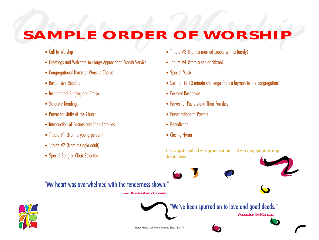### <span id="page-13-0"></span>SAMPLE ORDER OF WORSHIP *SAMPLE ORDER OF WORSHIP*

- **•** Call to Worship
- **•** Greetings and Welcome to Clergy Appreciation Month Service
- **•** Congregational Hymn or Worship Chorus
- **•** Responsive Reading
- **•** Inspirational Singing and Praise
- **•** Scripture Reading
- **•** Prayer for Unity of the Church
- **•** Introduction of Pastors and Their Families
- **•** Tribute #1 (from a young person)
- **•** Tribute #2 (from a single adult)
- **•** Special Song or Choir Selection
- **•** Tribute #3 (from a married couple with a family)
- Tribute #4 (from a senior citizen)
- **•** Special Music
- **•** Sermon (a 10-minute challenge from a layman to the congregation)
- **•** Pastoral Responses
- **•** Prayer for Pastors and Their Families
- **•** Presentations to Pastors
- **•** Benediction
- **•** Closing Hymn

(This suggested order of worship can be altered to fit your congregation's worship style and format.)

"My heart was overwhelmed with the tenderness shown." **— A minister of music**





"We've been spurred on to love and good deeds." **—A pastor in Kansas**

CLERGY APPRECIATION MONTH PLANNING GUIDE . PAGE 14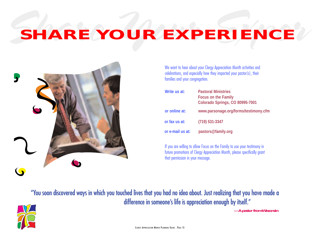### <span id="page-14-0"></span>*Share Your Exper SHARE YOUR EXPERIENCE*



We want to hear about your Clergy Appreciation Month activities and celebrations, and especially how they impacted your pastor(s), their families and your congregation.

| Write us at:     | <b>Pastoral Ministries</b><br><b>Focus on the Family</b><br>Colorado Springs, CO 80995-7001 |
|------------------|---------------------------------------------------------------------------------------------|
| or online at:    | www.parsonage.org/forms/testimony.cfm                                                       |
| or fax us at:    | $(719)$ 531-3347                                                                            |
| or e-mail us at: | pastors@family.org                                                                          |

If you are willing to allow Focus on the Family to use your testimony in future promotions of Clergy Appreciation Month, please specifically grant that permission in your message.

"You soon discovered ways in which you touched lives that you had no idea about. Just realizing that you have made a difference in someone's life is appreciation enough by itself." **—A pastor from Wisconsin**

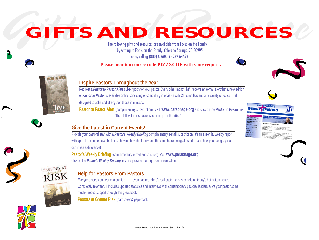# <span id="page-15-0"></span> $\boldsymbol{GIFTS}$   $\boldsymbol{AND}$   $\boldsymbol{RESOURCES}$ <br>The following gifts and resources are available from Focus on the Family  $_{\text{by writing to Focous on the Family} }$  (Clorado Springs, CO 80995

or by calling (800) A-FAMILY (232-6459).

**Please mention source code PIZZXGDE with your request.**







#### **Inspire Pastors Throughout the Year**

Request a *Pastor to Pastor Alert* subscription for your pastor. Every other month, he'll receive an e-mail alert that a new edition of *Pastor to Pastor* is available online consisting of compelling interviews with Christian leaders on a variety of topics — all designed to uplift and strengthen those in ministry.

**Pastor to Pastor Alert** c(complimentary subscription) Visit **www.parsonage.org** and click on the *Pastor to Pastor* link. Then follow the instructions to sign up for the *Alert*.

#### **Give the Latest in Current Events!**

Provide your pastoral staff with a *Pastor's Weekly Briefing* complimentary e-mail subscription. It's an essential weekly report with up-to-the-minute news bulletins showing how the family and the church are being affected — and how your congregation can make a difference!

**Pastor's Weekly Briefing** (complimentary e-mail subscription) Visit **www.parsonage.org**, click on the *Pastor's Weekly Briefing* link and provide the requested information.



#### **Help for Pastors From Pastors**

Everyone needs someone to confide in — even pastors. Here's real pastor-to-pastor help on today's hot-button issues. Completely rewritten, it includes updated statistics and interviews with contemporary pastoral leaders. Give your pastor some much-needed support through this great book! **Pastors at Greater Risk** (hardcover & paperback)